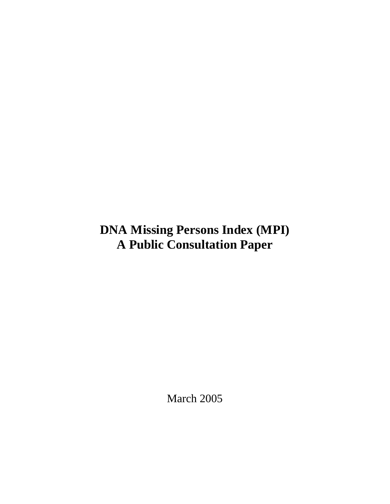# **DNA Missing Persons Index (MPI) A Public Consultation Paper**

March 2005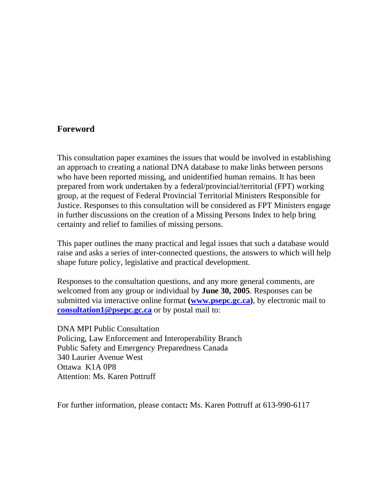#### **Foreword**

This consultation paper examines the issues that would be involved in establishing an approach to creating a national DNA database to make links between persons who have been reported missing, and unidentified human remains. It has been prepared from work undertaken by a federal/provincial/territorial (FPT) working group, at the request of Federal Provincial Territorial Ministers Responsible for Justice. Responses to this consultation will be considered as FPT Ministers engage in further discussions on the creation of a Missing Persons Index to help bring certainty and relief to families of missing persons.

This paper outlines the many practical and legal issues that such a database would raise and asks a series of inter-connected questions, the answers to which will help shape future policy, legislative and practical development.

Responses to the consultation questions, and any more general comments, are welcomed from any group or individual by **June 30, 2005**. Responses can be submitted via interactive online format **(www.psepc.gc.ca)**, by electronic mail to **consultation1@psepc.gc.ca** or by postal mail to:

DNA MPI Public Consultation Policing, Law Enforcement and Interoperability Branch Public Safety and Emergency Preparedness Canada 340 Laurier Avenue West Ottawa K1A 0P8 Attention: Ms. Karen Pottruff

For further information, please contact**:** Ms. Karen Pottruff at 613-990-6117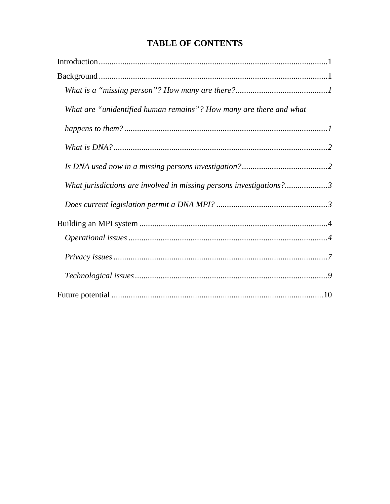# **TABLE OF CONTENTS**

| What are "unidentified human remains"? How many are there and what  |
|---------------------------------------------------------------------|
|                                                                     |
|                                                                     |
|                                                                     |
| What jurisdictions are involved in missing persons investigations?3 |
|                                                                     |
|                                                                     |
|                                                                     |
|                                                                     |
|                                                                     |
|                                                                     |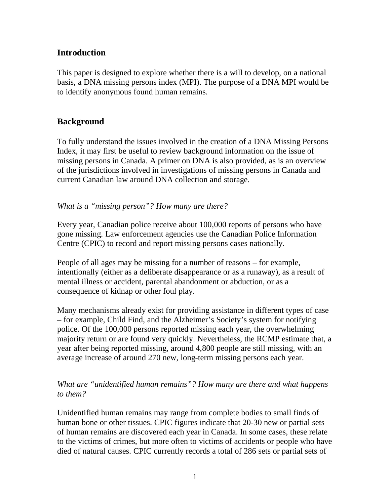# **Introduction**

This paper is designed to explore whether there is a will to develop, on a national basis, a DNA missing persons index (MPI). The purpose of a DNA MPI would be to identify anonymous found human remains.

### **Background**

To fully understand the issues involved in the creation of a DNA Missing Persons Index, it may first be useful to review background information on the issue of missing persons in Canada. A primer on DNA is also provided, as is an overview of the jurisdictions involved in investigations of missing persons in Canada and current Canadian law around DNA collection and storage.

#### *What is a "missing person"? How many are there?*

Every year, Canadian police receive about 100,000 reports of persons who have gone missing. Law enforcement agencies use the Canadian Police Information Centre (CPIC) to record and report missing persons cases nationally.

People of all ages may be missing for a number of reasons – for example, intentionally (either as a deliberate disappearance or as a runaway), as a result of mental illness or accident, parental abandonment or abduction, or as a consequence of kidnap or other foul play.

Many mechanisms already exist for providing assistance in different types of case – for example, Child Find, and the Alzheimer's Society's system for notifying police. Of the 100,000 persons reported missing each year, the overwhelming majority return or are found very quickly. Nevertheless, the RCMP estimate that, a year after being reported missing, around 4,800 people are still missing, with an average increase of around 270 new, long-term missing persons each year.

#### *What are "unidentified human remains"? How many are there and what happens to them?*

Unidentified human remains may range from complete bodies to small finds of human bone or other tissues. CPIC figures indicate that 20-30 new or partial sets of human remains are discovered each year in Canada. In some cases, these relate to the victims of crimes, but more often to victims of accidents or people who have died of natural causes. CPIC currently records a total of 286 sets or partial sets of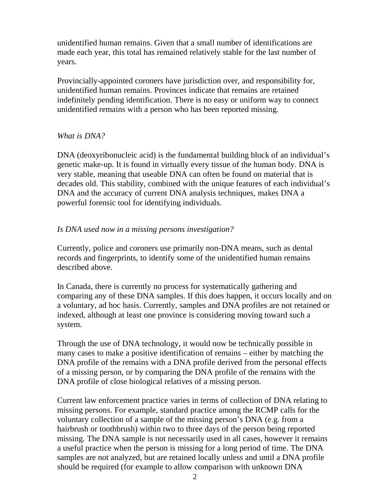unidentified human remains. Given that a small number of identifications are made each year, this total has remained relatively stable for the last number of years.

Provincially-appointed coroners have jurisdiction over, and responsibility for, unidentified human remains. Provinces indicate that remains are retained indefinitely pending identification. There is no easy or uniform way to connect unidentified remains with a person who has been reported missing.

#### *What is DNA?*

DNA (deoxyribonucleic acid) is the fundamental building block of an individual's genetic make-up. It is found in virtually every tissue of the human body. DNA is very stable, meaning that useable DNA can often be found on material that is decades old. This stability, combined with the unique features of each individual's DNA and the accuracy of current DNA analysis techniques, makes DNA a powerful forensic tool for identifying individuals.

#### *Is DNA used now in a missing persons investigation?*

Currently, police and coroners use primarily non-DNA means, such as dental records and fingerprints, to identify some of the unidentified human remains described above.

In Canada, there is currently no process for systematically gathering and comparing any of these DNA samples. If this does happen, it occurs locally and on a voluntary, ad hoc basis. Currently, samples and DNA profiles are not retained or indexed, although at least one province is considering moving toward such a system.

Through the use of DNA technology, it would now be technically possible in many cases to make a positive identification of remains – either by matching the DNA profile of the remains with a DNA profile derived from the personal effects of a missing person, or by comparing the DNA profile of the remains with the DNA profile of close biological relatives of a missing person.

Current law enforcement practice varies in terms of collection of DNA relating to missing persons. For example, standard practice among the RCMP calls for the voluntary collection of a sample of the missing person's DNA (e.g. from a hairbrush or toothbrush) within two to three days of the person being reported missing. The DNA sample is not necessarily used in all cases, however it remains a useful practice when the person is missing for a long period of time. The DNA samples are not analyzed, but are retained locally unless and until a DNA profile should be required (for example to allow comparison with unknown DNA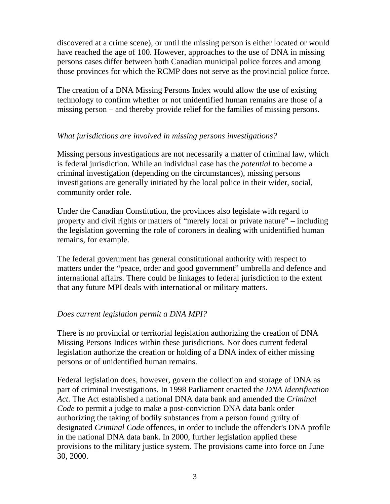discovered at a crime scene), or until the missing person is either located or would have reached the age of 100. However, approaches to the use of DNA in missing persons cases differ between both Canadian municipal police forces and among those provinces for which the RCMP does not serve as the provincial police force.

The creation of a DNA Missing Persons Index would allow the use of existing technology to confirm whether or not unidentified human remains are those of a missing person – and thereby provide relief for the families of missing persons.

#### *What jurisdictions are involved in missing persons investigations?*

Missing persons investigations are not necessarily a matter of criminal law, which is federal jurisdiction. While an individual case has the *potential* to become a criminal investigation (depending on the circumstances), missing persons investigations are generally initiated by the local police in their wider, social, community order role.

Under the Canadian Constitution, the provinces also legislate with regard to property and civil rights or matters of "merely local or private nature" – including the legislation governing the role of coroners in dealing with unidentified human remains, for example.

The federal government has general constitutional authority with respect to matters under the "peace, order and good government" umbrella and defence and international affairs. There could be linkages to federal jurisdiction to the extent that any future MPI deals with international or military matters.

# *Does current legislation permit a DNA MPI?*

There is no provincial or territorial legislation authorizing the creation of DNA Missing Persons Indices within these jurisdictions. Nor does current federal legislation authorize the creation or holding of a DNA index of either missing persons or of unidentified human remains.

Federal legislation does, however, govern the collection and storage of DNA as part of criminal investigations. In 1998 Parliament enacted the *DNA Identification Act*. The Act established a national DNA data bank and amended the *Criminal Code* to permit a judge to make a post-conviction DNA data bank order authorizing the taking of bodily substances from a person found guilty of designated *Criminal Code* offences, in order to include the offender's DNA profile in the national DNA data bank. In 2000, further legislation applied these provisions to the military justice system. The provisions came into force on June 30, 2000.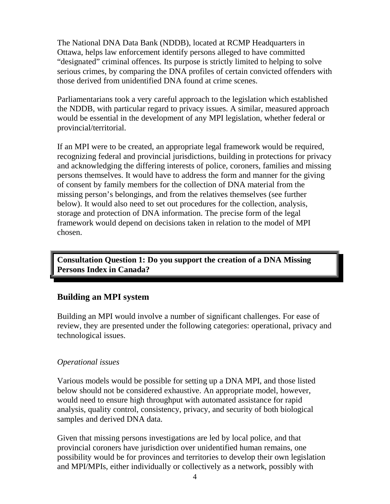The National DNA Data Bank (NDDB), located at RCMP Headquarters in Ottawa, helps law enforcement identify persons alleged to have committed "designated" criminal offences. Its purpose is strictly limited to helping to solve serious crimes, by comparing the DNA profiles of certain convicted offenders with those derived from unidentified DNA found at crime scenes.

Parliamentarians took a very careful approach to the legislation which established the NDDB, with particular regard to privacy issues. A similar, measured approach would be essential in the development of any MPI legislation, whether federal or provincial/territorial.

If an MPI were to be created, an appropriate legal framework would be required, recognizing federal and provincial jurisdictions, building in protections for privacy and acknowledging the differing interests of police, coroners, families and missing persons themselves. It would have to address the form and manner for the giving of consent by family members for the collection of DNA material from the missing person's belongings, and from the relatives themselves (see further below). It would also need to set out procedures for the collection, analysis, storage and protection of DNA information. The precise form of the legal framework would depend on decisions taken in relation to the model of MPI chosen.

**Consultation Question 1: Do you support the creation of a DNA Missing Persons Index in Canada?**

#### **Building an MPI system**

Building an MPI would involve a number of significant challenges. For ease of review, they are presented under the following categories: operational, privacy and technological issues.

#### *Operational issues*

Various models would be possible for setting up a DNA MPI, and those listed below should not be considered exhaustive. An appropriate model, however, would need to ensure high throughput with automated assistance for rapid analysis, quality control, consistency, privacy, and security of both biological samples and derived DNA data.

Given that missing persons investigations are led by local police, and that provincial coroners have jurisdiction over unidentified human remains, one possibility would be for provinces and territories to develop their own legislation and MPI/MPIs, either individually or collectively as a network, possibly with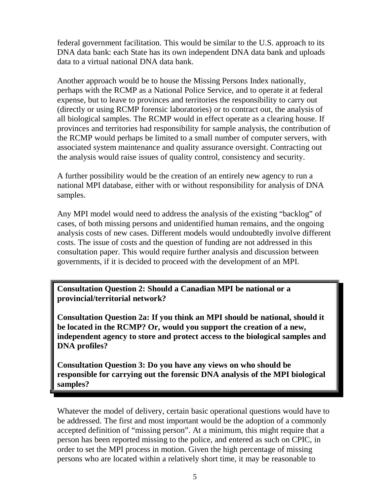federal government facilitation. This would be similar to the U.S. approach to its DNA data bank: each State has its own independent DNA data bank and uploads data to a virtual national DNA data bank.

Another approach would be to house the Missing Persons Index nationally, perhaps with the RCMP as a National Police Service, and to operate it at federal expense, but to leave to provinces and territories the responsibility to carry out (directly or using RCMP forensic laboratories) or to contract out, the analysis of all biological samples. The RCMP would in effect operate as a clearing house. If provinces and territories had responsibility for sample analysis, the contribution of the RCMP would perhaps be limited to a small number of computer servers, with associated system maintenance and quality assurance oversight. Contracting out the analysis would raise issues of quality control, consistency and security.

A further possibility would be the creation of an entirely new agency to run a national MPI database, either with or without responsibility for analysis of DNA samples.

Any MPI model would need to address the analysis of the existing "backlog" of cases, of both missing persons and unidentified human remains, and the ongoing analysis costs of new cases. Different models would undoubtedly involve different costs. The issue of costs and the question of funding are not addressed in this consultation paper. This would require further analysis and discussion between governments, if it is decided to proceed with the development of an MPI.

**Consultation Question 2: Should a Canadian MPI be national or a provincial/territorial network?**

**Consultation Question 2a: If you think an MPI should be national, should it be located in the RCMP? Or, would you support the creation of a new, independent agency to store and protect access to the biological samples and DNA profiles?**

**Consultation Question 3: Do you have any views on who should be responsible for carrying out the forensic DNA analysis of the MPI biological samples?**

Whatever the model of delivery, certain basic operational questions would have to be addressed. The first and most important would be the adoption of a commonly accepted definition of "missing person". At a minimum, this might require that a person has been reported missing to the police, and entered as such on CPIC, in order to set the MPI process in motion. Given the high percentage of missing persons who are located within a relatively short time, it may be reasonable to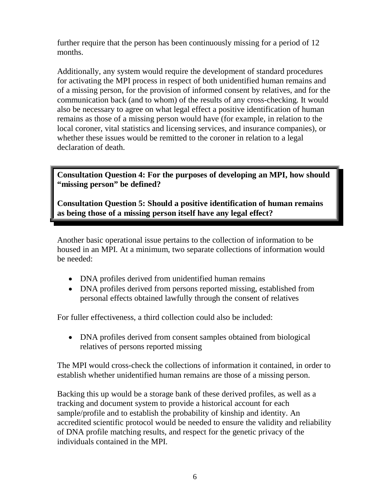further require that the person has been continuously missing for a period of 12 months.

Additionally, any system would require the development of standard procedures for activating the MPI process in respect of both unidentified human remains and of a missing person, for the provision of informed consent by relatives, and for the communication back (and to whom) of the results of any cross-checking. It would also be necessary to agree on what legal effect a positive identification of human remains as those of a missing person would have (for example, in relation to the local coroner, vital statistics and licensing services, and insurance companies), or whether these issues would be remitted to the coroner in relation to a legal declaration of death.

**Consultation Question 4: For the purposes of developing an MPI, how should "missing person" be defined?**

**Consultation Question 5: Should a positive identification of human remains as being those of a missing person itself have any legal effect?**

Another basic operational issue pertains to the collection of information to be housed in an MPI. At a minimum, two separate collections of information would be needed:

- DNA profiles derived from unidentified human remains
- DNA profiles derived from persons reported missing, established from personal effects obtained lawfully through the consent of relatives

For fuller effectiveness, a third collection could also be included:

• DNA profiles derived from consent samples obtained from biological relatives of persons reported missing

The MPI would cross-check the collections of information it contained, in order to establish whether unidentified human remains are those of a missing person.

Backing this up would be a storage bank of these derived profiles, as well as a tracking and document system to provide a historical account for each sample/profile and to establish the probability of kinship and identity. An accredited scientific protocol would be needed to ensure the validity and reliability of DNA profile matching results, and respect for the genetic privacy of the individuals contained in the MPI.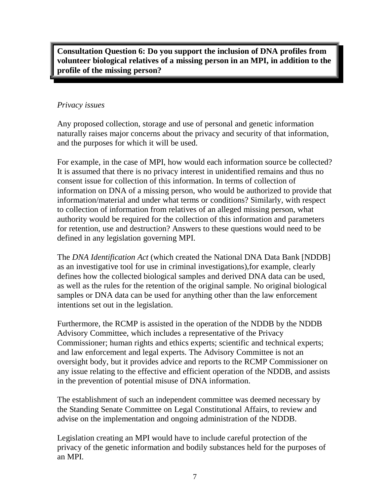**Consultation Question 6: Do you support the inclusion of DNA profiles from volunteer biological relatives of a missing person in an MPI, in addition to the profile of the missing person?**

#### *Privacy issues*

Any proposed collection, storage and use of personal and genetic information naturally raises major concerns about the privacy and security of that information, and the purposes for which it will be used.

For example, in the case of MPI, how would each information source be collected? It is assumed that there is no privacy interest in unidentified remains and thus no consent issue for collection of this information. In terms of collection of information on DNA of a missing person, who would be authorized to provide that information/material and under what terms or conditions? Similarly, with respect to collection of information from relatives of an alleged missing person, what authority would be required for the collection of this information and parameters for retention, use and destruction? Answers to these questions would need to be defined in any legislation governing MPI.

The *DNA Identification Act* (which created the National DNA Data Bank [NDDB] as an investigative tool for use in criminal investigations),for example, clearly defines how the collected biological samples and derived DNA data can be used, as well as the rules for the retention of the original sample. No original biological samples or DNA data can be used for anything other than the law enforcement intentions set out in the legislation.

Furthermore, the RCMP is assisted in the operation of the NDDB by the NDDB Advisory Committee, which includes a representative of the Privacy Commissioner; human rights and ethics experts; scientific and technical experts; and law enforcement and legal experts. The Advisory Committee is not an oversight body, but it provides advice and reports to the RCMP Commissioner on any issue relating to the effective and efficient operation of the NDDB, and assists in the prevention of potential misuse of DNA information.

The establishment of such an independent committee was deemed necessary by the Standing Senate Committee on Legal Constitutional Affairs, to review and advise on the implementation and ongoing administration of the NDDB.

Legislation creating an MPI would have to include careful protection of the privacy of the genetic information and bodily substances held for the purposes of an MPI.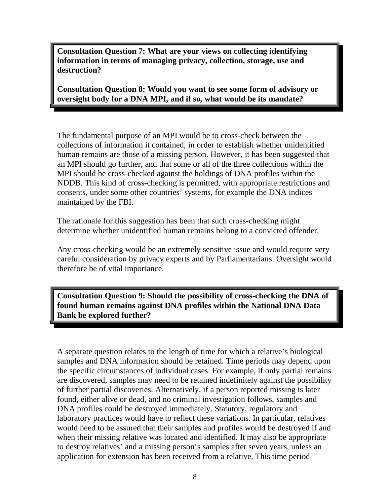**Consultation Question 7: What are your views on collecting identifying information in terms of managing privacy, collection, storage, use and destruction?**

**Consultation Question 8: Would you want to see some form of advisory or oversight body for a DNA MPI, and if so, what would be its mandate?**

The fundamental purpose of an MPI would be to cross-check between the collections of information it contained, in order to establish whether unidentified human remains are those of a missing person. However, it has been suggested that an MPI should go further, and that some or all of the three collections within the MPI should be cross-checked against the holdings of DNA profiles within the NDDB. This kind of cross-checking is permitted, with appropriate restrictions and consents, under some other countries' systems, for example the DNA indices maintained by the FBI.

The rationale for this suggestion has been that such cross-checking might determine whether unidentified human remains belong to a convicted offender.

Any cross-checking would be an extremely sensitive issue and would require very careful consideration by privacy experts and by Parliamentarians. Oversight would therefore be of vital importance.

**Consultation Question 9: Should the possibility of cross-checking the DNA of found human remains against DNA profiles within the National DNA Data Bank be explored further?**

A separate question relates to the length of time for which a relative's biological samples and DNA information should be retained. Time periods may depend upon the specific circumstances of individual cases. For example, if only partial remains are discovered, samples may need to be retained indefinitely against the possibility of further partial discoveries. Alternatively, if a person reported missing is later found, either alive or dead, and no criminal investigation follows, samples and DNA profiles could be destroyed immediately. Statutory, regulatory and laboratory practices would have to reflect these variations. In particular, relatives would need to be assured that their samples and profiles would be destroyed if and when their missing relative was located and identified. It may also be appropriate to destroy relatives' and a missing person's samples after seven years, unless an application for extension has been received from a relative. This time period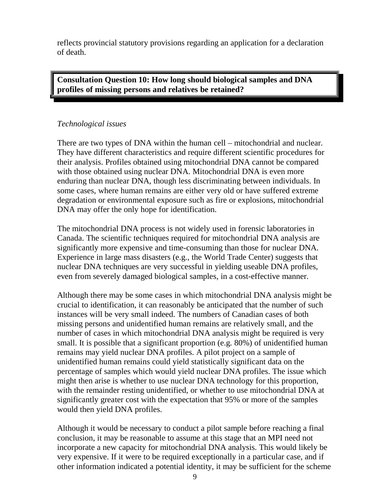reflects provincial statutory provisions regarding an application for a declaration of death.

**Consultation Question 10: How long should biological samples and DNA profiles of missing persons and relatives be retained?**

#### *Technological issues*

There are two types of DNA within the human cell – mitochondrial and nuclear. They have different characteristics and require different scientific procedures for their analysis. Profiles obtained using mitochondrial DNA cannot be compared with those obtained using nuclear DNA. Mitochondrial DNA is even more enduring than nuclear DNA, though less discriminating between individuals. In some cases, where human remains are either very old or have suffered extreme degradation or environmental exposure such as fire or explosions, mitochondrial DNA may offer the only hope for identification.

The mitochondrial DNA process is not widely used in forensic laboratories in Canada. The scientific techniques required for mitochondrial DNA analysis are significantly more expensive and time-consuming than those for nuclear DNA. Experience in large mass disasters (e.g., the World Trade Center) suggests that nuclear DNA techniques are very successful in yielding useable DNA profiles, even from severely damaged biological samples, in a cost-effective manner.

Although there may be some cases in which mitochondrial DNA analysis might be crucial to identification, it can reasonably be anticipated that the number of such instances will be very small indeed. The numbers of Canadian cases of both missing persons and unidentified human remains are relatively small, and the number of cases in which mitochondrial DNA analysis might be required is very small. It is possible that a significant proportion (e.g. 80%) of unidentified human remains may yield nuclear DNA profiles. A pilot project on a sample of unidentified human remains could yield statistically significant data on the percentage of samples which would yield nuclear DNA profiles. The issue which might then arise is whether to use nuclear DNA technology for this proportion, with the remainder resting unidentified, or whether to use mitochondrial DNA at significantly greater cost with the expectation that 95% or more of the samples would then yield DNA profiles.

Although it would be necessary to conduct a pilot sample before reaching a final conclusion, it may be reasonable to assume at this stage that an MPI need not incorporate a new capacity for mitochondrial DNA analysis. This would likely be very expensive. If it were to be required exceptionally in a particular case, and if other information indicated a potential identity, it may be sufficient for the scheme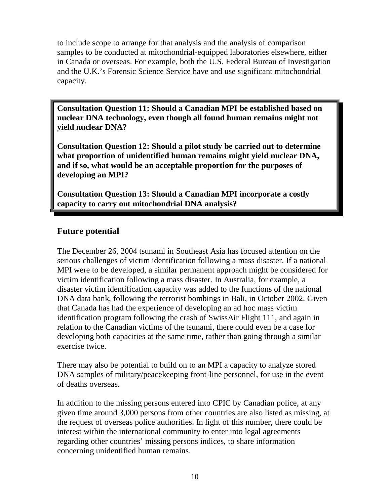to include scope to arrange for that analysis and the analysis of comparison samples to be conducted at mitochondrial-equipped laboratories elsewhere, either in Canada or overseas. For example, both the U.S. Federal Bureau of Investigation and the U.K.'s Forensic Science Service have and use significant mitochondrial capacity.

**Consultation Question 11: Should a Canadian MPI be established based on nuclear DNA technology, even though all found human remains might not yield nuclear DNA?**

**Consultation Question 12: Should a pilot study be carried out to determine what proportion of unidentified human remains might yield nuclear DNA, and if so, what would be an acceptable proportion for the purposes of developing an MPI?**

**Consultation Question 13: Should a Canadian MPI incorporate a costly capacity to carry out mitochondrial DNA analysis?**

# **Future potential**

The December 26, 2004 tsunami in Southeast Asia has focused attention on the serious challenges of victim identification following a mass disaster. If a national MPI were to be developed, a similar permanent approach might be considered for victim identification following a mass disaster. In Australia, for example, a disaster victim identification capacity was added to the functions of the national DNA data bank, following the terrorist bombings in Bali, in October 2002. Given that Canada has had the experience of developing an ad hoc mass victim identification program following the crash of SwissAir Flight 111, and again in relation to the Canadian victims of the tsunami, there could even be a case for developing both capacities at the same time, rather than going through a similar exercise twice.

There may also be potential to build on to an MPI a capacity to analyze stored DNA samples of military/peacekeeping front-line personnel, for use in the event of deaths overseas.

In addition to the missing persons entered into CPIC by Canadian police, at any given time around 3,000 persons from other countries are also listed as missing, at the request of overseas police authorities. In light of this number, there could be interest within the international community to enter into legal agreements regarding other countries' missing persons indices, to share information concerning unidentified human remains.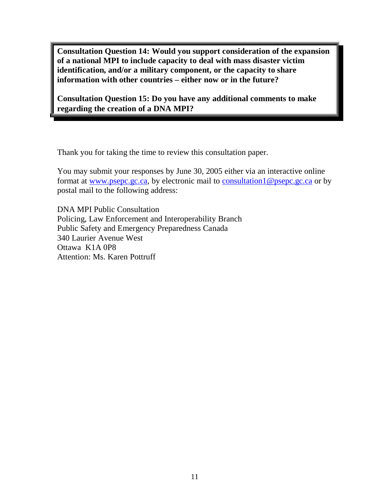**Consultation Question 14: Would you support consideration of the expansion of a national MPI to include capacity to deal with mass disaster victim identification, and/or a military component, or the capacity to share information with other countries – either now or in the future?**

**Consultation Question 15: Do you have any additional comments to make regarding the creation of a DNA MPI?**

Thank you for taking the time to review this consultation paper.

You may submit your responses by June 30, 2005 either via an interactive online format at www.psepc.gc.ca, by electronic mail to consultation1@psepc.gc.ca or by postal mail to the following address:

DNA MPI Public Consultation Policing, Law Enforcement and Interoperability Branch Public Safety and Emergency Preparedness Canada 340 Laurier Avenue West Ottawa K1A 0P8 Attention: Ms. Karen Pottruff